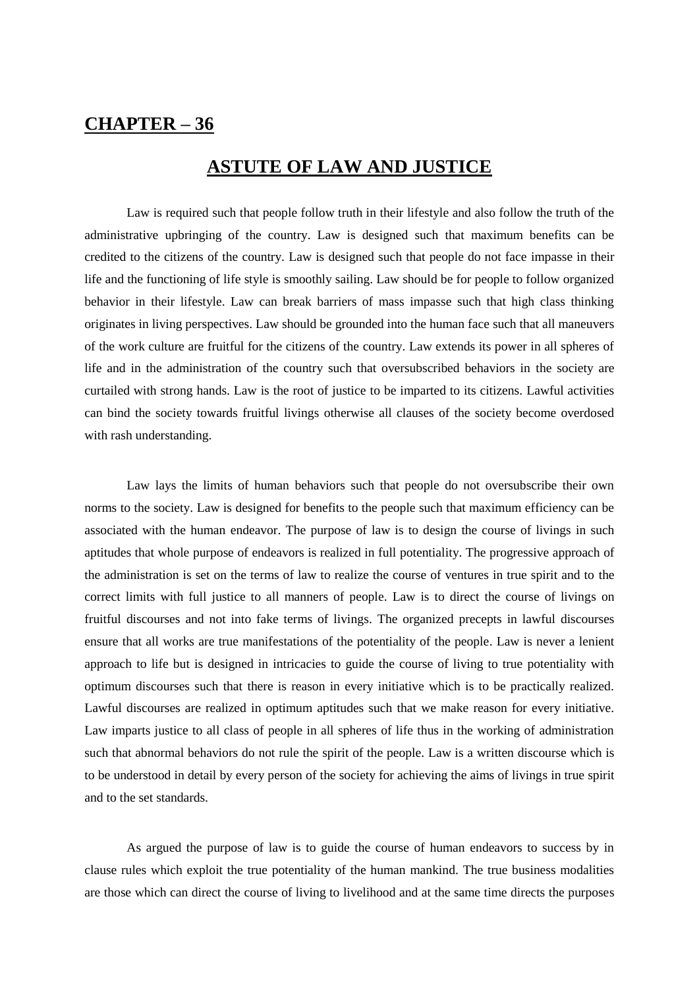## **CHAPTER – 36**

## **ASTUTE OF LAW AND JUSTICE**

Law is required such that people follow truth in their lifestyle and also follow the truth of the administrative upbringing of the country. Law is designed such that maximum benefits can be credited to the citizens of the country. Law is designed such that people do not face impasse in their life and the functioning of life style is smoothly sailing. Law should be for people to follow organized behavior in their lifestyle. Law can break barriers of mass impasse such that high class thinking originates in living perspectives. Law should be grounded into the human face such that all maneuvers of the work culture are fruitful for the citizens of the country. Law extends its power in all spheres of life and in the administration of the country such that oversubscribed behaviors in the society are curtailed with strong hands. Law is the root of justice to be imparted to its citizens. Lawful activities can bind the society towards fruitful livings otherwise all clauses of the society become overdosed with rash understanding.

Law lays the limits of human behaviors such that people do not oversubscribe their own norms to the society. Law is designed for benefits to the people such that maximum efficiency can be associated with the human endeavor. The purpose of law is to design the course of livings in such aptitudes that whole purpose of endeavors is realized in full potentiality. The progressive approach of the administration is set on the terms of law to realize the course of ventures in true spirit and to the correct limits with full justice to all manners of people. Law is to direct the course of livings on fruitful discourses and not into fake terms of livings. The organized precepts in lawful discourses ensure that all works are true manifestations of the potentiality of the people. Law is never a lenient approach to life but is designed in intricacies to guide the course of living to true potentiality with optimum discourses such that there is reason in every initiative which is to be practically realized. Lawful discourses are realized in optimum aptitudes such that we make reason for every initiative. Law imparts justice to all class of people in all spheres of life thus in the working of administration such that abnormal behaviors do not rule the spirit of the people. Law is a written discourse which is to be understood in detail by every person of the society for achieving the aims of livings in true spirit and to the set standards.

As argued the purpose of law is to guide the course of human endeavors to success by in clause rules which exploit the true potentiality of the human mankind. The true business modalities are those which can direct the course of living to livelihood and at the same time directs the purposes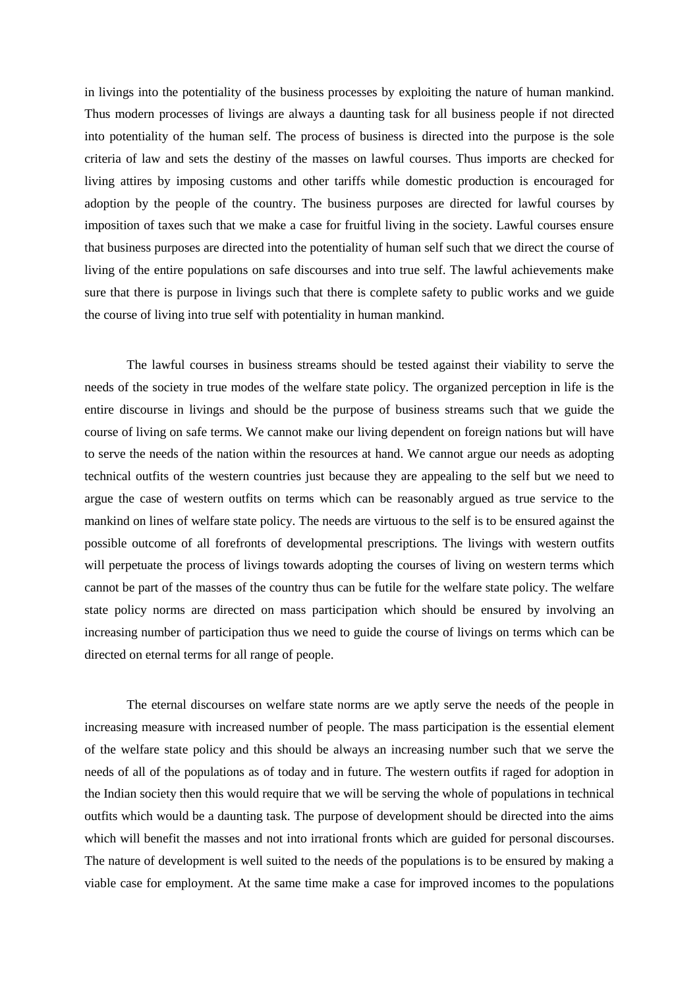in livings into the potentiality of the business processes by exploiting the nature of human mankind. Thus modern processes of livings are always a daunting task for all business people if not directed into potentiality of the human self. The process of business is directed into the purpose is the sole criteria of law and sets the destiny of the masses on lawful courses. Thus imports are checked for living attires by imposing customs and other tariffs while domestic production is encouraged for adoption by the people of the country. The business purposes are directed for lawful courses by imposition of taxes such that we make a case for fruitful living in the society. Lawful courses ensure that business purposes are directed into the potentiality of human self such that we direct the course of living of the entire populations on safe discourses and into true self. The lawful achievements make sure that there is purpose in livings such that there is complete safety to public works and we guide the course of living into true self with potentiality in human mankind.

The lawful courses in business streams should be tested against their viability to serve the needs of the society in true modes of the welfare state policy. The organized perception in life is the entire discourse in livings and should be the purpose of business streams such that we guide the course of living on safe terms. We cannot make our living dependent on foreign nations but will have to serve the needs of the nation within the resources at hand. We cannot argue our needs as adopting technical outfits of the western countries just because they are appealing to the self but we need to argue the case of western outfits on terms which can be reasonably argued as true service to the mankind on lines of welfare state policy. The needs are virtuous to the self is to be ensured against the possible outcome of all forefronts of developmental prescriptions. The livings with western outfits will perpetuate the process of livings towards adopting the courses of living on western terms which cannot be part of the masses of the country thus can be futile for the welfare state policy. The welfare state policy norms are directed on mass participation which should be ensured by involving an increasing number of participation thus we need to guide the course of livings on terms which can be directed on eternal terms for all range of people.

The eternal discourses on welfare state norms are we aptly serve the needs of the people in increasing measure with increased number of people. The mass participation is the essential element of the welfare state policy and this should be always an increasing number such that we serve the needs of all of the populations as of today and in future. The western outfits if raged for adoption in the Indian society then this would require that we will be serving the whole of populations in technical outfits which would be a daunting task. The purpose of development should be directed into the aims which will benefit the masses and not into irrational fronts which are guided for personal discourses. The nature of development is well suited to the needs of the populations is to be ensured by making a viable case for employment. At the same time make a case for improved incomes to the populations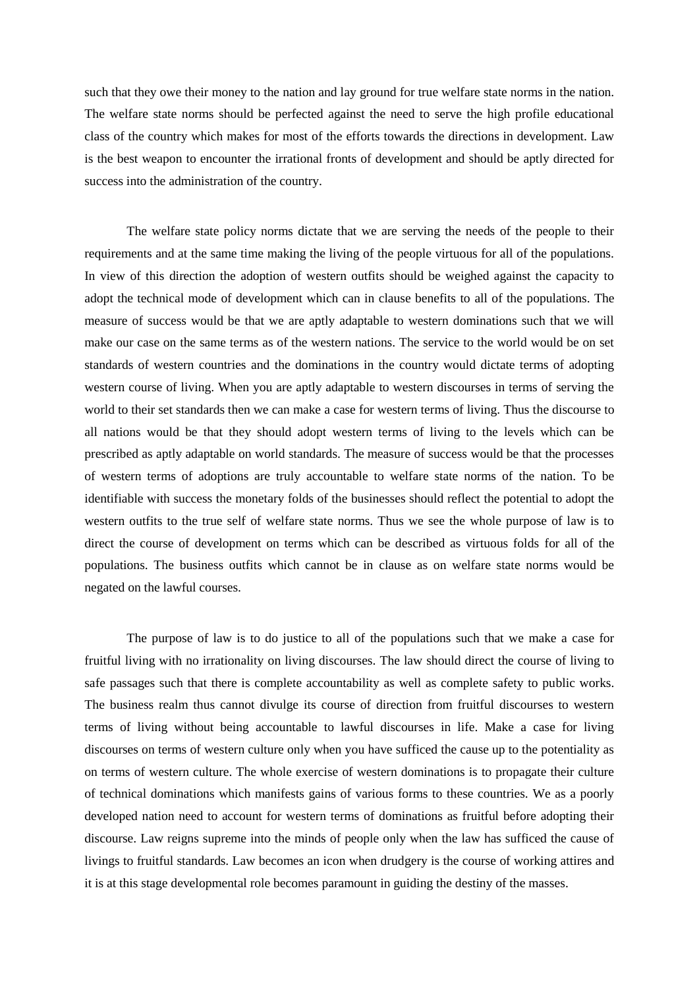such that they owe their money to the nation and lay ground for true welfare state norms in the nation. The welfare state norms should be perfected against the need to serve the high profile educational class of the country which makes for most of the efforts towards the directions in development. Law is the best weapon to encounter the irrational fronts of development and should be aptly directed for success into the administration of the country.

The welfare state policy norms dictate that we are serving the needs of the people to their requirements and at the same time making the living of the people virtuous for all of the populations. In view of this direction the adoption of western outfits should be weighed against the capacity to adopt the technical mode of development which can in clause benefits to all of the populations. The measure of success would be that we are aptly adaptable to western dominations such that we will make our case on the same terms as of the western nations. The service to the world would be on set standards of western countries and the dominations in the country would dictate terms of adopting western course of living. When you are aptly adaptable to western discourses in terms of serving the world to their set standards then we can make a case for western terms of living. Thus the discourse to all nations would be that they should adopt western terms of living to the levels which can be prescribed as aptly adaptable on world standards. The measure of success would be that the processes of western terms of adoptions are truly accountable to welfare state norms of the nation. To be identifiable with success the monetary folds of the businesses should reflect the potential to adopt the western outfits to the true self of welfare state norms. Thus we see the whole purpose of law is to direct the course of development on terms which can be described as virtuous folds for all of the populations. The business outfits which cannot be in clause as on welfare state norms would be negated on the lawful courses.

The purpose of law is to do justice to all of the populations such that we make a case for fruitful living with no irrationality on living discourses. The law should direct the course of living to safe passages such that there is complete accountability as well as complete safety to public works. The business realm thus cannot divulge its course of direction from fruitful discourses to western terms of living without being accountable to lawful discourses in life. Make a case for living discourses on terms of western culture only when you have sufficed the cause up to the potentiality as on terms of western culture. The whole exercise of western dominations is to propagate their culture of technical dominations which manifests gains of various forms to these countries. We as a poorly developed nation need to account for western terms of dominations as fruitful before adopting their discourse. Law reigns supreme into the minds of people only when the law has sufficed the cause of livings to fruitful standards. Law becomes an icon when drudgery is the course of working attires and it is at this stage developmental role becomes paramount in guiding the destiny of the masses.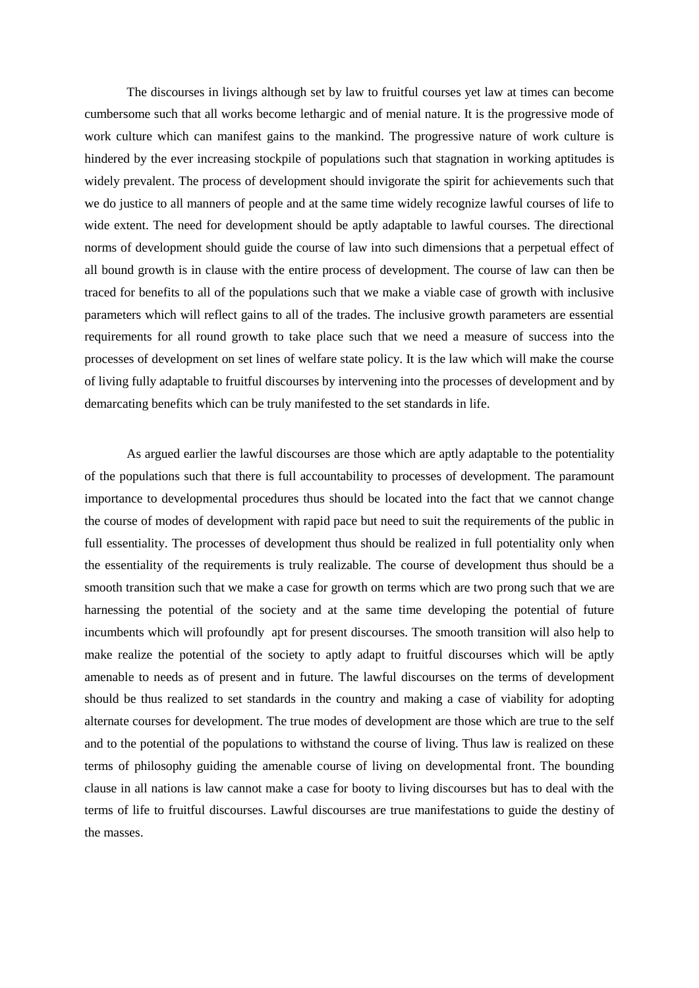The discourses in livings although set by law to fruitful courses yet law at times can become cumbersome such that all works become lethargic and of menial nature. It is the progressive mode of work culture which can manifest gains to the mankind. The progressive nature of work culture is hindered by the ever increasing stockpile of populations such that stagnation in working aptitudes is widely prevalent. The process of development should invigorate the spirit for achievements such that we do justice to all manners of people and at the same time widely recognize lawful courses of life to wide extent. The need for development should be aptly adaptable to lawful courses. The directional norms of development should guide the course of law into such dimensions that a perpetual effect of all bound growth is in clause with the entire process of development. The course of law can then be traced for benefits to all of the populations such that we make a viable case of growth with inclusive parameters which will reflect gains to all of the trades. The inclusive growth parameters are essential requirements for all round growth to take place such that we need a measure of success into the processes of development on set lines of welfare state policy. It is the law which will make the course of living fully adaptable to fruitful discourses by intervening into the processes of development and by demarcating benefits which can be truly manifested to the set standards in life.

As argued earlier the lawful discourses are those which are aptly adaptable to the potentiality of the populations such that there is full accountability to processes of development. The paramount importance to developmental procedures thus should be located into the fact that we cannot change the course of modes of development with rapid pace but need to suit the requirements of the public in full essentiality. The processes of development thus should be realized in full potentiality only when the essentiality of the requirements is truly realizable. The course of development thus should be a smooth transition such that we make a case for growth on terms which are two prong such that we are harnessing the potential of the society and at the same time developing the potential of future incumbents which will profoundly apt for present discourses. The smooth transition will also help to make realize the potential of the society to aptly adapt to fruitful discourses which will be aptly amenable to needs as of present and in future. The lawful discourses on the terms of development should be thus realized to set standards in the country and making a case of viability for adopting alternate courses for development. The true modes of development are those which are true to the self and to the potential of the populations to withstand the course of living. Thus law is realized on these terms of philosophy guiding the amenable course of living on developmental front. The bounding clause in all nations is law cannot make a case for booty to living discourses but has to deal with the terms of life to fruitful discourses. Lawful discourses are true manifestations to guide the destiny of the masses.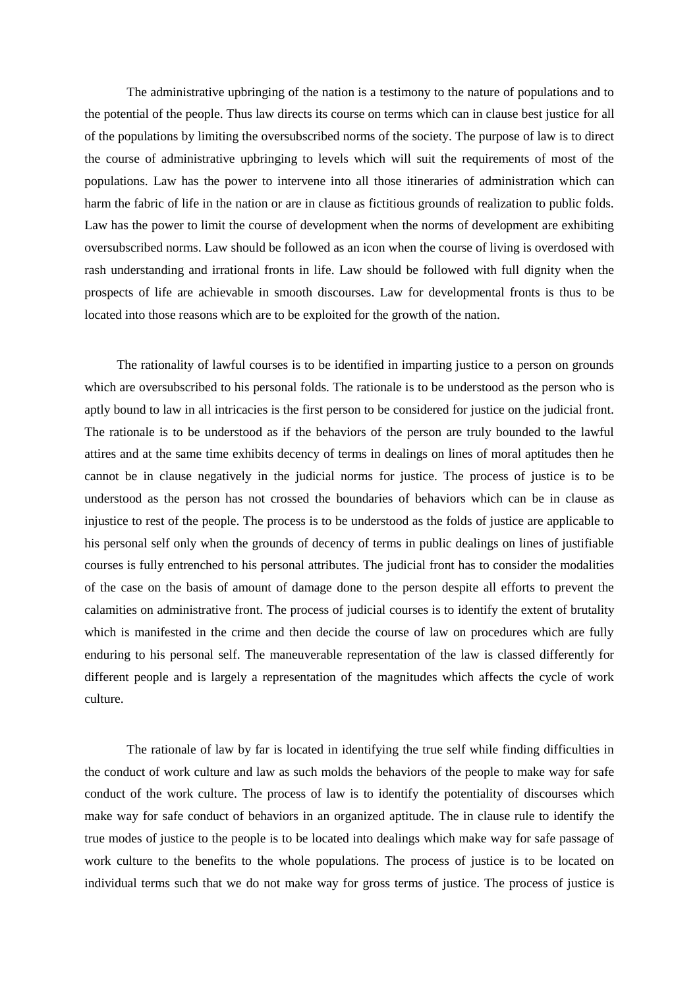The administrative upbringing of the nation is a testimony to the nature of populations and to the potential of the people. Thus law directs its course on terms which can in clause best justice for all of the populations by limiting the oversubscribed norms of the society. The purpose of law is to direct the course of administrative upbringing to levels which will suit the requirements of most of the populations. Law has the power to intervene into all those itineraries of administration which can harm the fabric of life in the nation or are in clause as fictitious grounds of realization to public folds. Law has the power to limit the course of development when the norms of development are exhibiting oversubscribed norms. Law should be followed as an icon when the course of living is overdosed with rash understanding and irrational fronts in life. Law should be followed with full dignity when the prospects of life are achievable in smooth discourses. Law for developmental fronts is thus to be located into those reasons which are to be exploited for the growth of the nation.

 The rationality of lawful courses is to be identified in imparting justice to a person on grounds which are oversubscribed to his personal folds. The rationale is to be understood as the person who is aptly bound to law in all intricacies is the first person to be considered for justice on the judicial front. The rationale is to be understood as if the behaviors of the person are truly bounded to the lawful attires and at the same time exhibits decency of terms in dealings on lines of moral aptitudes then he cannot be in clause negatively in the judicial norms for justice. The process of justice is to be understood as the person has not crossed the boundaries of behaviors which can be in clause as injustice to rest of the people. The process is to be understood as the folds of justice are applicable to his personal self only when the grounds of decency of terms in public dealings on lines of justifiable courses is fully entrenched to his personal attributes. The judicial front has to consider the modalities of the case on the basis of amount of damage done to the person despite all efforts to prevent the calamities on administrative front. The process of judicial courses is to identify the extent of brutality which is manifested in the crime and then decide the course of law on procedures which are fully enduring to his personal self. The maneuverable representation of the law is classed differently for different people and is largely a representation of the magnitudes which affects the cycle of work culture.

The rationale of law by far is located in identifying the true self while finding difficulties in the conduct of work culture and law as such molds the behaviors of the people to make way for safe conduct of the work culture. The process of law is to identify the potentiality of discourses which make way for safe conduct of behaviors in an organized aptitude. The in clause rule to identify the true modes of justice to the people is to be located into dealings which make way for safe passage of work culture to the benefits to the whole populations. The process of justice is to be located on individual terms such that we do not make way for gross terms of justice. The process of justice is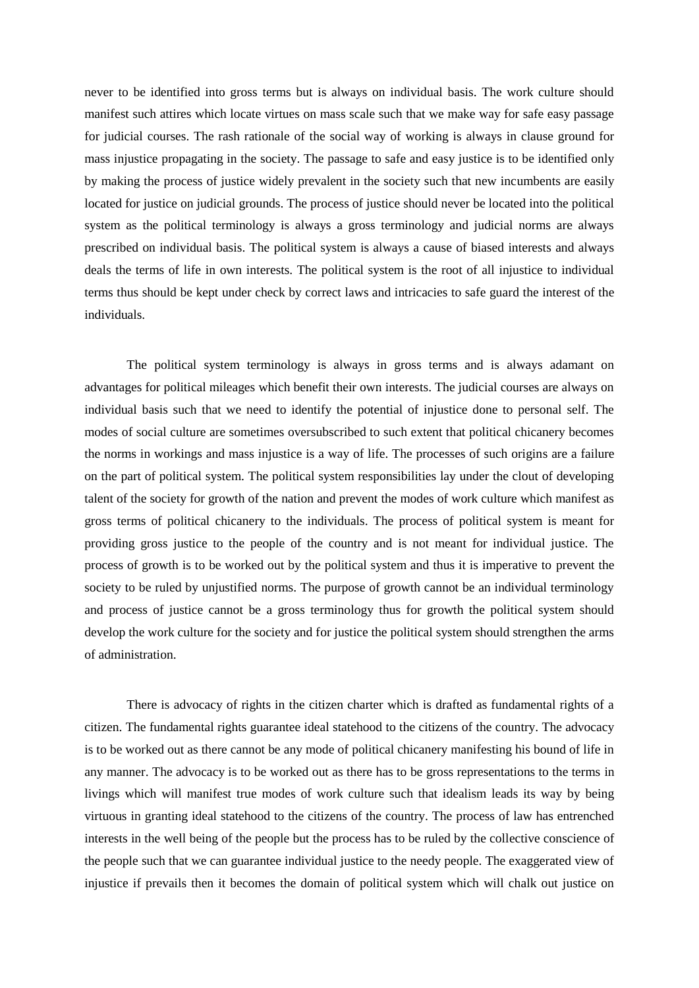never to be identified into gross terms but is always on individual basis. The work culture should manifest such attires which locate virtues on mass scale such that we make way for safe easy passage for judicial courses. The rash rationale of the social way of working is always in clause ground for mass injustice propagating in the society. The passage to safe and easy justice is to be identified only by making the process of justice widely prevalent in the society such that new incumbents are easily located for justice on judicial grounds. The process of justice should never be located into the political system as the political terminology is always a gross terminology and judicial norms are always prescribed on individual basis. The political system is always a cause of biased interests and always deals the terms of life in own interests. The political system is the root of all injustice to individual terms thus should be kept under check by correct laws and intricacies to safe guard the interest of the individuals.

The political system terminology is always in gross terms and is always adamant on advantages for political mileages which benefit their own interests. The judicial courses are always on individual basis such that we need to identify the potential of injustice done to personal self. The modes of social culture are sometimes oversubscribed to such extent that political chicanery becomes the norms in workings and mass injustice is a way of life. The processes of such origins are a failure on the part of political system. The political system responsibilities lay under the clout of developing talent of the society for growth of the nation and prevent the modes of work culture which manifest as gross terms of political chicanery to the individuals. The process of political system is meant for providing gross justice to the people of the country and is not meant for individual justice. The process of growth is to be worked out by the political system and thus it is imperative to prevent the society to be ruled by unjustified norms. The purpose of growth cannot be an individual terminology and process of justice cannot be a gross terminology thus for growth the political system should develop the work culture for the society and for justice the political system should strengthen the arms of administration.

There is advocacy of rights in the citizen charter which is drafted as fundamental rights of a citizen. The fundamental rights guarantee ideal statehood to the citizens of the country. The advocacy is to be worked out as there cannot be any mode of political chicanery manifesting his bound of life in any manner. The advocacy is to be worked out as there has to be gross representations to the terms in livings which will manifest true modes of work culture such that idealism leads its way by being virtuous in granting ideal statehood to the citizens of the country. The process of law has entrenched interests in the well being of the people but the process has to be ruled by the collective conscience of the people such that we can guarantee individual justice to the needy people. The exaggerated view of injustice if prevails then it becomes the domain of political system which will chalk out justice on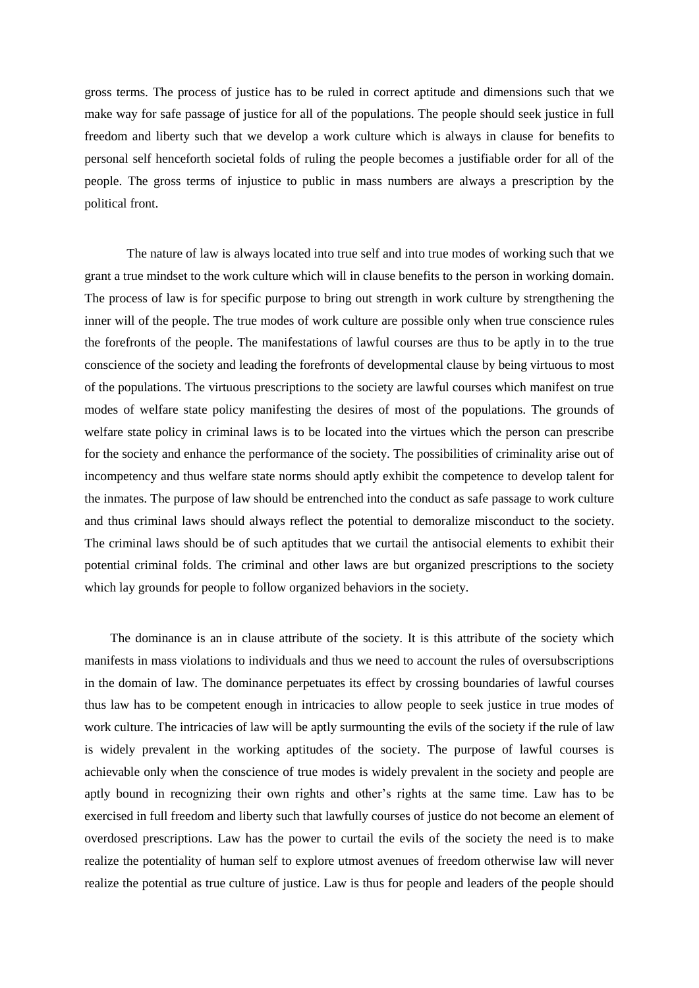gross terms. The process of justice has to be ruled in correct aptitude and dimensions such that we make way for safe passage of justice for all of the populations. The people should seek justice in full freedom and liberty such that we develop a work culture which is always in clause for benefits to personal self henceforth societal folds of ruling the people becomes a justifiable order for all of the people. The gross terms of injustice to public in mass numbers are always a prescription by the political front.

The nature of law is always located into true self and into true modes of working such that we grant a true mindset to the work culture which will in clause benefits to the person in working domain. The process of law is for specific purpose to bring out strength in work culture by strengthening the inner will of the people. The true modes of work culture are possible only when true conscience rules the forefronts of the people. The manifestations of lawful courses are thus to be aptly in to the true conscience of the society and leading the forefronts of developmental clause by being virtuous to most of the populations. The virtuous prescriptions to the society are lawful courses which manifest on true modes of welfare state policy manifesting the desires of most of the populations. The grounds of welfare state policy in criminal laws is to be located into the virtues which the person can prescribe for the society and enhance the performance of the society. The possibilities of criminality arise out of incompetency and thus welfare state norms should aptly exhibit the competence to develop talent for the inmates. The purpose of law should be entrenched into the conduct as safe passage to work culture and thus criminal laws should always reflect the potential to demoralize misconduct to the society. The criminal laws should be of such aptitudes that we curtail the antisocial elements to exhibit their potential criminal folds. The criminal and other laws are but organized prescriptions to the society which lay grounds for people to follow organized behaviors in the society.

 The dominance is an in clause attribute of the society. It is this attribute of the society which manifests in mass violations to individuals and thus we need to account the rules of oversubscriptions in the domain of law. The dominance perpetuates its effect by crossing boundaries of lawful courses thus law has to be competent enough in intricacies to allow people to seek justice in true modes of work culture. The intricacies of law will be aptly surmounting the evils of the society if the rule of law is widely prevalent in the working aptitudes of the society. The purpose of lawful courses is achievable only when the conscience of true modes is widely prevalent in the society and people are aptly bound in recognizing their own rights and other's rights at the same time. Law has to be exercised in full freedom and liberty such that lawfully courses of justice do not become an element of overdosed prescriptions. Law has the power to curtail the evils of the society the need is to make realize the potentiality of human self to explore utmost avenues of freedom otherwise law will never realize the potential as true culture of justice. Law is thus for people and leaders of the people should